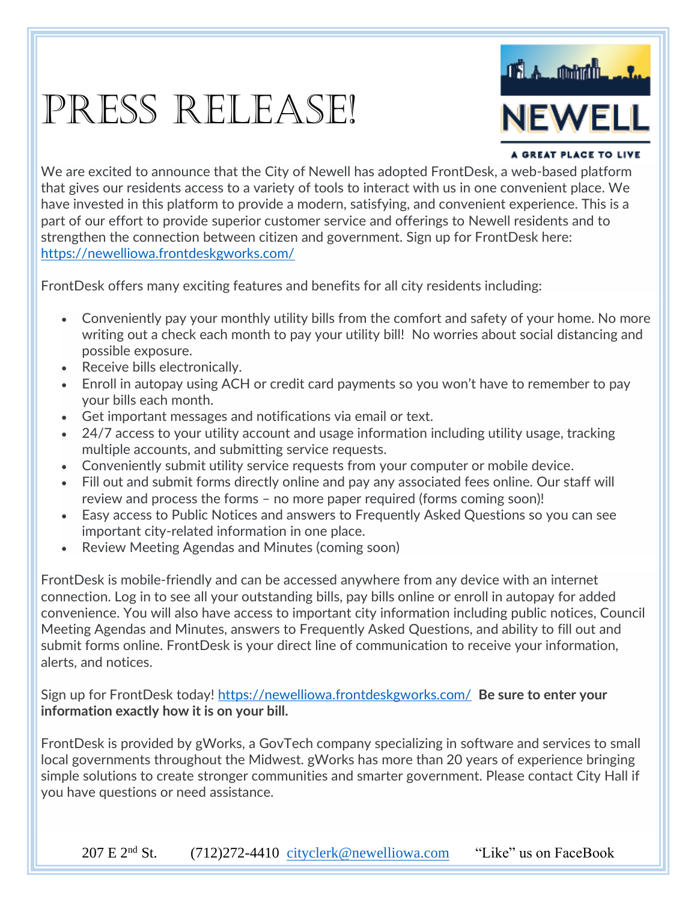## PRESS RELEASE!



#### A GREAT PLACE TO LIVE

We are excited to announce that the City of Newell has adopted FrontDesk, a web-based platform that gives our residents access to a variety of tools to interact with us in one convenient place. We have invested in this platform to provide a modern, satisfying, and convenient experience. This is a part of our effort to provide superior customer service and offerings to Newell residents and to strengthen the connection between citizen and government. Sign up for FrontDesk here: <https://newelliowa.frontdeskgworks.com/>

FrontDesk offers many exciting features and benefits for all city residents including:

- Conveniently pay your monthly utility bills from the comfort and safety of your home. No more writing out a check each month to pay your utility bill! No worries about social distancing and possible exposure.
- Receive bills electronically.
- Enroll in autopay using ACH or credit card payments so you won't have to remember to pay your bills each month.
- Get important messages and notifications via email or text.
- 24/7 access to your utility account and usage information including utility usage, tracking multiple accounts, and submitting service requests.
- Conveniently submit utility service requests from your computer or mobile device.
- Fill out and submit forms directly online and pay any associated fees online. Our staff will review and process the forms – no more paper required (forms coming soon)!
- Easy access to Public Notices and answers to Frequently Asked Questions so you can see important city-related information in one place.
- Review Meeting Agendas and Minutes (coming soon)

FrontDesk is mobile-friendly and can be accessed anywhere from any device with an internet connection. Log in to see all your outstanding bills, pay bills online or enroll in autopay for added convenience. You will also have access to important city information including public notices, Council Meeting Agendas and Minutes, answers to Frequently Asked Questions, and ability to fill out and submit forms online. FrontDesk is your direct line of communication to receive your information, alerts, and notices.

Sign up for FrontDesk today!<https://newelliowa.frontdeskgworks.com/> **Be sure to enter your information exactly how it is on your bill.**

FrontDesk is provided by gWorks, a GovTech company specializing in software and services to small local governments throughout the Midwest. gWorks has more than 20 years of experience bringing simple solutions to create stronger communities and smarter government. Please contact City Hall if you have questions or need assistance.